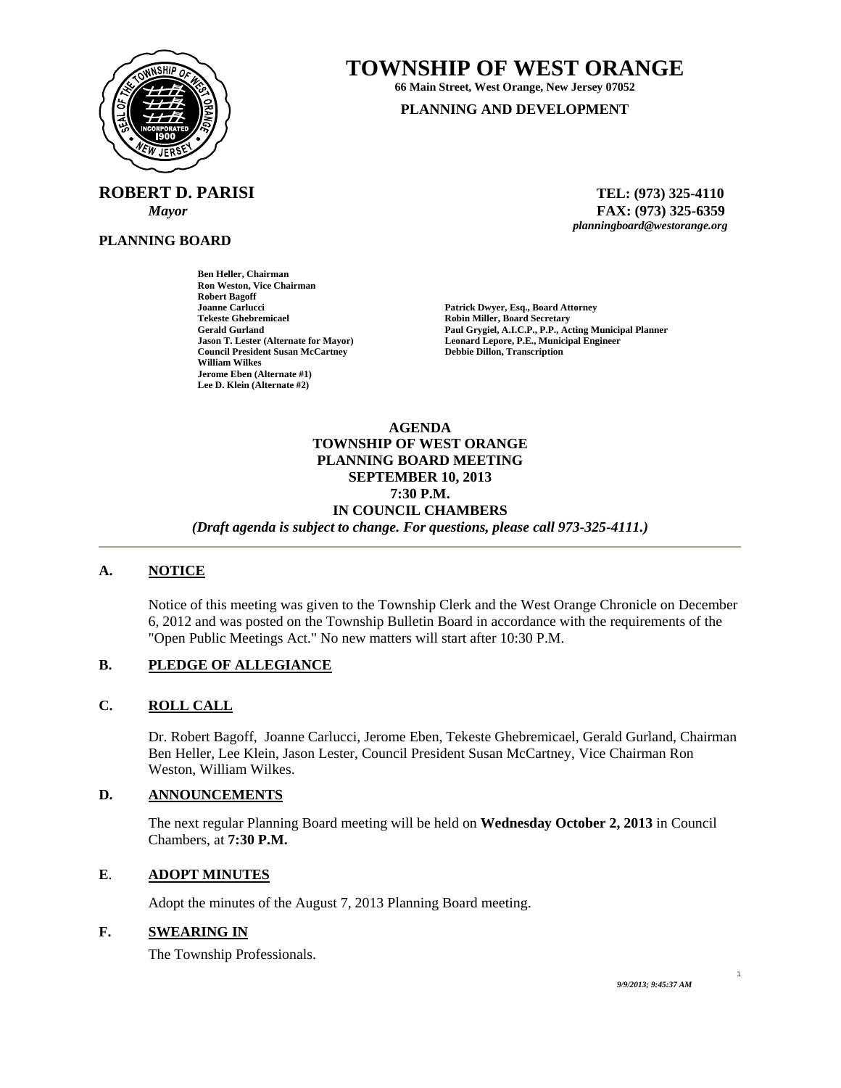<span id="page-0-0"></span>

**ROBERT D. PARISI TEL: (973) 325-4110** 

**Ben Heller, Chairman Ron Weston, Vice Chairman** 

**Council President Susan McCartney** 

**Robert Bagoff** 

**William Wilkes Jerome Eben (Alternate #1) Lee D. Klein (Alternate #2)** 

**PLANNING BOARD**

**TOWNSHIP OF WEST ORANGE** 

**66 Main Street, West Orange, New Jersey 07052 PLANNING AND DEVELOPMENT**

 *Mayor* **FAX: (973) 325-6359** *planningboard@westorange.org* 

**Joanne Carlucci Patrick Dwyer, Esq., Board Attorney Tekeste Ghebremicael 2008 18 Community Robin Miller, Board Secretary Gerald Gurland 2008 18 Community Paul Grygiel, A.I.C.P., P.P., Actor Gerald Gurland Paul Grygiel, A.I.C.P., P.P., Acting Municipal Planner Leonard Lepore, P.E., Municipal Engineer Debbie Dillon, Transcription** 

**AGENDA TOWNSHIP OF WEST ORANGE PLANNING BOARD MEETING SEPTEMBER 10, 2013 7:30 P.M. IN COUNCIL CHAMBERS**  *(Draft agenda is subject to change. For questions, please call 973-325-4111.)* 

## **A. NOTICE**

Notice of this meeting was given to the Township Clerk and the West Orange Chronicle on December 6, 2012 and was posted on the Township Bulletin Board in accordance with the requirements of the "Open Public Meetings Act." No new matters will start after 10:30 P.M.

## **B. PLEDGE OF ALLEGIANCE**

# **C. ROLL CALL**

Dr. Robert Bagoff, Joanne Carlucci, Jerome Eben, Tekeste Ghebremicael, Gerald Gurland, Chairman Ben Heller, Lee Klein, Jason Lester, Council President Susan McCartney, Vice Chairman Ron Weston, William Wilkes.

#### **D. ANNOUNCEMENTS**

The next regular Planning Board meeting will be held on **Wednesday October 2, 2013** in Council Chambers, at **7:30 P.M.** 

## **E**. **ADOPT MINUTES**

Adopt the minutes of the August 7, 2013 Planning Board meeting.

# **F. SWEARING IN**

The Township Professionals.